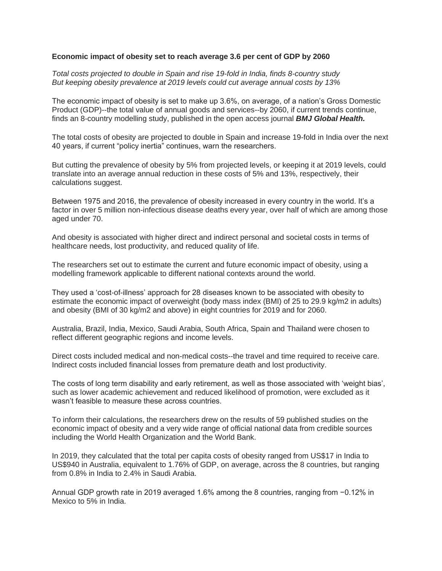## **Economic impact of obesity set to reach average 3.6 per cent of GDP by 2060**

*Total costs projected to double in Spain and rise 19-fold in India, finds 8-country study But keeping obesity prevalence at 2019 levels could cut average annual costs by 13%*

The economic impact of obesity is set to make up 3.6%, on average, of a nation's Gross Domestic Product (GDP)--the total value of annual goods and services--by 2060, if current trends continue, finds an 8-country modelling study, published in the open access journal *BMJ Global Health.*

The total costs of obesity are projected to double in Spain and increase 19-fold in India over the next 40 years, if current "policy inertia" continues, warn the researchers.

But cutting the prevalence of obesity by 5% from projected levels, or keeping it at 2019 levels, could translate into an average annual reduction in these costs of 5% and 13%, respectively, their calculations suggest.

Between 1975 and 2016, the prevalence of obesity increased in every country in the world. It's a factor in over 5 million non-infectious disease deaths every year, over half of which are among those aged under 70.

And obesity is associated with higher direct and indirect personal and societal costs in terms of healthcare needs, lost productivity, and reduced quality of life.

The researchers set out to estimate the current and future economic impact of obesity, using a modelling framework applicable to different national contexts around the world.

They used a 'cost-of-illness' approach for 28 diseases known to be associated with obesity to estimate the economic impact of overweight (body mass index (BMI) of 25 to 29.9 kg/m2 in adults) and obesity (BMI of 30 kg/m2 and above) in eight countries for 2019 and for 2060.

Australia, Brazil, India, Mexico, Saudi Arabia, South Africa, Spain and Thailand were chosen to reflect different geographic regions and income levels.

Direct costs included medical and non-medical costs--the travel and time required to receive care. Indirect costs included financial losses from premature death and lost productivity.

The costs of long term disability and early retirement, as well as those associated with 'weight bias', such as lower academic achievement and reduced likelihood of promotion, were excluded as it wasn't feasible to measure these across countries.

To inform their calculations, the researchers drew on the results of 59 published studies on the economic impact of obesity and a very wide range of official national data from credible sources including the World Health Organization and the World Bank.

In 2019, they calculated that the total per capita costs of obesity ranged from US\$17 in India to US\$940 in Australia, equivalent to 1.76% of GDP, on average, across the 8 countries, but ranging from 0.8% in India to 2.4% in Saudi Arabia.

Annual GDP growth rate in 2019 averaged 1.6% among the 8 countries, ranging from −0.12% in Mexico to 5% in India.